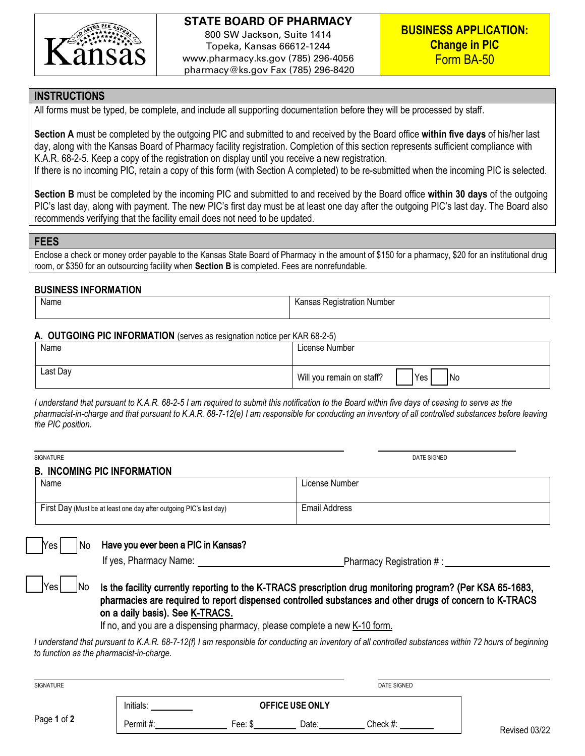

### **INSTRUCTIONS**

All forms must be typed, be complete, and include all supporting documentation before they will be processed by staff.

**Section A** must be completed by the outgoing PIC and submitted to and received by the Board office **within five days** of his/her last day, along with the Kansas Board of Pharmacy facility registration. Completion of this section represents sufficient compliance with K.A.R. 68-2-5. Keep a copy of the registration on display until you receive a new registration.

If there is no incoming PIC, retain a copy of this form (with Section A completed) to be re-submitted when the incoming PIC is selected.

**Section B** must be completed by the incoming PIC and submitted to and received by the Board office **within 30 days** of the outgoing PIC's last day, along with payment. The new PIC's first day must be at least one day after the outgoing PIC's last day. The Board also recommends verifying that the facility email does not need to be updated.

### **FEES**

Enclose a check or money order payable to the Kansas State Board of Pharmacy in the amount of \$150 for a pharmacy, \$20 for an institutional drug room, or \$350 for an outsourcing facility when **Section B** is completed. Fees are nonrefundable.

#### **BUSINESS INFORMATION**

No

Yes

| Name | ı Number<br>⊀eɑıstratıon<br>. .<br>neuisuc<br>יטוסו<br>ו ש<br>. |  |  |
|------|-----------------------------------------------------------------|--|--|
|      |                                                                 |  |  |

#### **A. OUTGOING PIC INFORMATION** (serves as resignation notice per KAR 68-2-5)

| Name     | License Number                            |  |
|----------|-------------------------------------------|--|
|          |                                           |  |
| Last Day | Will you remain on staff?<br>'Yes<br>1 No |  |

*I understand that pursuant to K.A.R. 68-2-5 I am required to submit this notification to the Board within five days of ceasing to serve as the pharmacist-in-charge and that pursuant to K.A.R. 68-7-12(e) I am responsible for conducting an inventory of all controlled substances before leaving the PIC position.*

| SIGNATURE |                                                                    | DATE SIGNED    |  |  |  |  |
|-----------|--------------------------------------------------------------------|----------------|--|--|--|--|
|           | <b>B. INCOMING PIC INFORMATION</b>                                 |                |  |  |  |  |
|           | Name                                                               | License Number |  |  |  |  |
|           |                                                                    |                |  |  |  |  |
|           | First Day (Must be at least one day after outgoing PIC's last day) | Email Address  |  |  |  |  |
|           |                                                                    |                |  |  |  |  |

## No Have you ever been a PIC in Kansas?

If yes, Pharmacy Name:  $\blacksquare$  Pharmacy Registration # :

# Is the facility currently reporting to the K-TRACS prescription drug monitoring program? (Per KSA 65-1683, pharmacies are required to report dispensed controlled substances and other drugs of concern to K-TRACS on a daily basis). See [K-TRACS.](https://pharmacy.ks.gov/k-tracs)

If no, and you are a dispensing pharmacy, please complete a new K-10 [form.](https://pharmacy.ks.gov/resources-consumer-info-2/forms)

*I* understand that pursuant to K.A.R. 68-7-12(f) I am responsible for conducting an inventory of all controlled substances within 72 hours of beginning *to function as the pharmacist-in-charge.* 

| SIGNATURE   |           |                   |       | <b>DATE SIGNED</b> |               |
|-------------|-----------|-------------------|-------|--------------------|---------------|
|             | Initials: | OFFICE USE ONLY   |       |                    |               |
| Page 1 of 2 | Permit#:  | Fee: $\downarrow$ | Date: | Check #:           | Revised 03/22 |